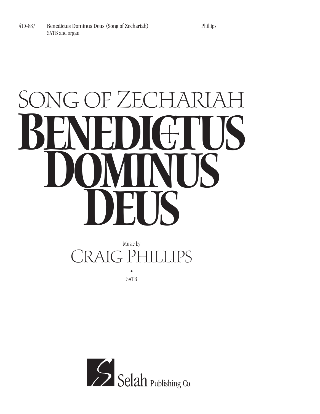#### SONG OF ZECHARIAH **BENEDIGTUS Dominus Deus**

#### Music by CRAIG PHILLIPS •

SATB

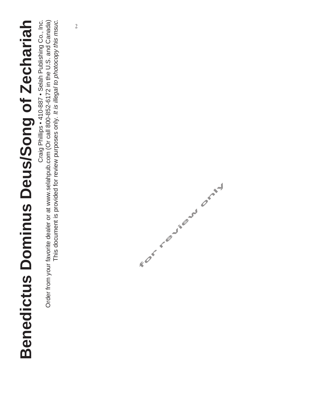Craig Phillips . 410-887 . Selah Publishing Co., Inc. Order from your favorite dealer or at www.selahpub.com (Or call 800-852-6172 in the U.S. and Canada) This document is provided for review purposes only. It is illegal to photocopy this msuc. Craig Phillips • 410-887 • Selah Publishing Co., Inc. Order from your favorite dealer or at www.selahpub.com (Or call 800-852-6172 in the U.S. and Canada) This document is provided for review purposes only. It is illegal to photocopy this msuc.

2

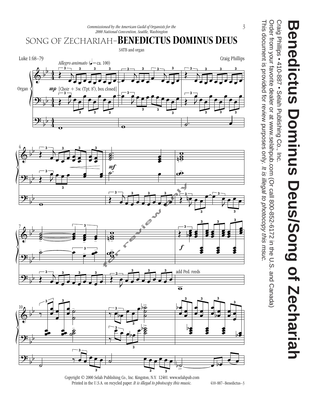3

This document is provided for review purposes only. Order from your favorite dealer or at www.selahpub.com (Or call 800-852-6172 in the U.S. and Canada) This document is provided for review purposes only. It is illegal to photocopy this msuc. Order from your favorite dealer or at www.selahpub.com (Or call 800-852-6172 in the U.S. and Canada) It is illegal to photocopy this msuc.





 $\overline{e}$   $\overline{e}$   $\overline{e}$   $\overline{e}$   $\overline{e}$   $\overline{e}$   $\overline{e}$   $\overline{e}$   $\overline{e}$   $\overline{e}$   $\overline{e}$   $\overline{e}$   $\overline{e}$   $\overline{e}$   $\overline{e}$   $\overline{e}$   $\overline{e}$   $\overline{e}$   $\overline{e}$   $\overline{e}$   $\overline{e}$   $\overline{e}$   $\overline{e}$   $\overline{e}$   $\overline{$ 

**z** 

&

 $\frac{1}{2}$ 

 $\overline{ }$  $\frac{1}{1}$ 

 $\overline{ }$  $\frac{1}{1}$ 

 $\frac{2}{\sqrt{2}}$ 

 $\frac{1}{2}$  $\frac{1}{1}$ 

 $4 \wedge \cdots \wedge$ 

 $\left( \begin{array}{c} \bullet \\ \bullet \end{array} \right)$ œ

**3**

œ

œ

**3**

**3**

. .

œ

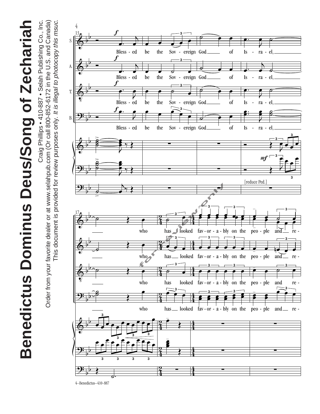Craig Phillips • 410-887 • Selah Publishing Co., Inc. Craig Phillips • 410-887 • Selah Publishing Co., Inc. Order from your favorite dealer or at www.selahpub.com (Or call 800-852-6172 in the U.S. and Canada) Order from your favorite dealer or at www.selahpub.com (Or call 800-852-6172 in the U.S. and Canada) This document is provided for review purposes only. It is illegal to photocopy this msuc. This document is provided for review purposes only. It is illegal to photocopy this msuc.

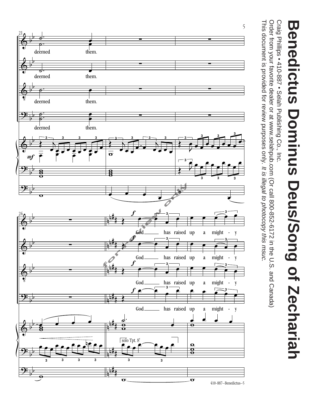

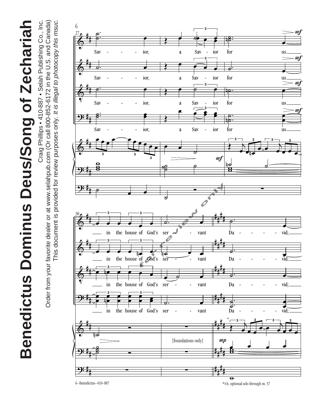

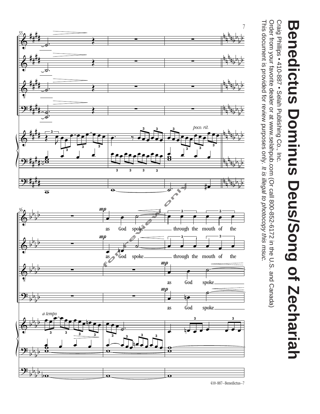



<sup>410-887–</sup>Benedictus–7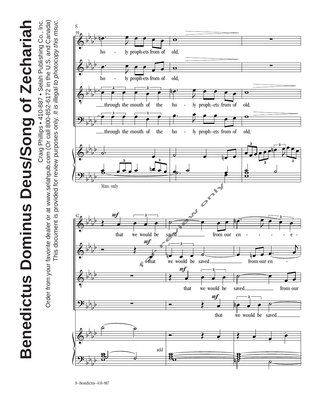Craig Phillips • 410-887 • Selah Publishing Co., Inc. Craig Phillips • 410-887 • Selah Publishing Co., Inc. Benedictus Dominus Deus/Song of Zechariah **Benedictus Dominus Deus/Song of Zechariah**

Order from your favorite dealer or at www.selahpub.com (Or call 800-852-6172 in the U.S. and Canada) Order from your favorite dealer or at www.selahpub.com (Or call 800-852-6172 in the U.S. and Canada) This document is provided for review purposes only. It is illegal to photocopy this msuc. This document is provided for review purposes only. It is illegal to photocopy this msuc.

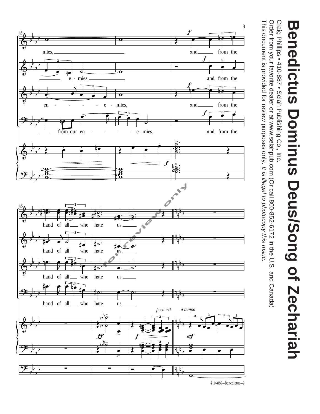



<sup>410-887–</sup>Benedictus–9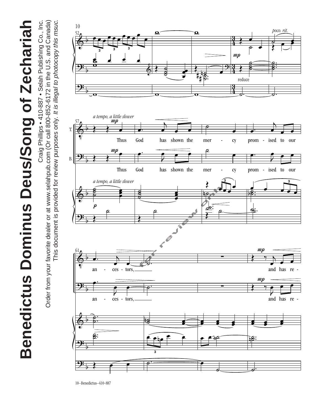Craig Phillips • 410-887 • Selah Publishing Co., Inc. Craig Phillips • 410-887 • Selah Publishing Co., Inc. Order from your favorite dealer or at www.selahpub.com (Or call 800-852-6172 in the U.S. and Canada) Order from your favorite dealer or at www.selahpub.com (Or call 800-852-6172 in the U.S. and Canada) This document is provided for review purposes only. It is illegal to photocopy this msuc. This document is provided for review purposes only. It is illegal to photocopy this msuc.



10–Benedictus–410-887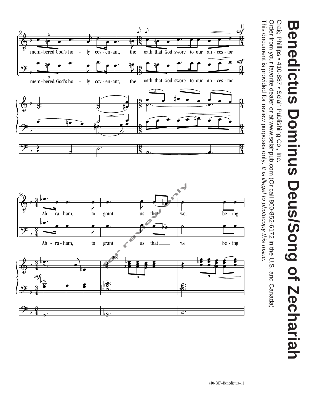

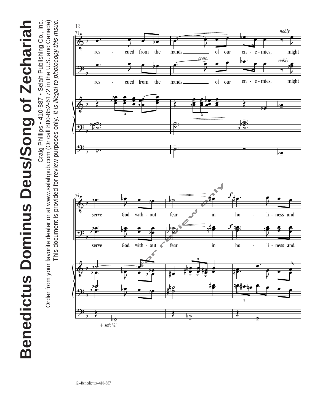

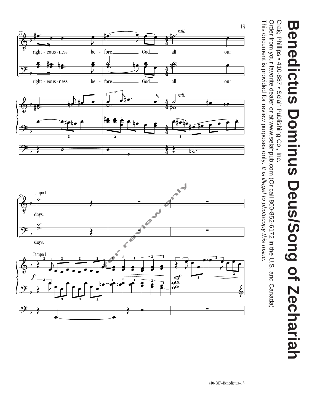Craig Philips • 410-887 • Selah Publishing Co., Inc. Craig Phillips • 410-887 • Selah Publishing Co., Inc.

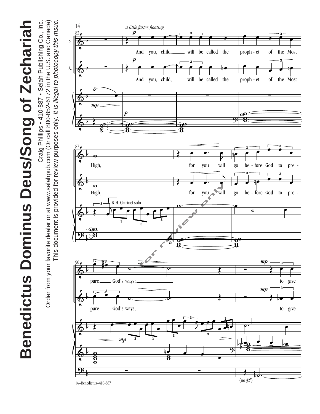

Craig Phillips • 410-887 • Selah Publishing Co., Inc. Craig Phillips • 410-887 • Selah Publishing Co., Inc. Order from your favorite dealer or at www.selahpub.com (Or call 800-852-6172 in the U.S. and Canada) Order from your favorite dealer or at www.selahpub.com (Or call 800-852-6172 in the U.S. and Canada) This document is provided for review purposes only. It is illegal to photocopy this msuc. This document is provided for review purposes only. It is illegal to photocopy this msuc.

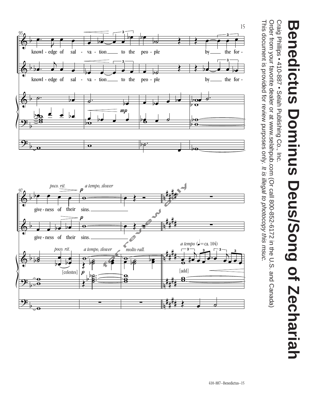Craig Philips • 410-887 • Selah Publishing Co., Inc. Craig Phillips • 410-887 • Selah Publishing Co., Inc.

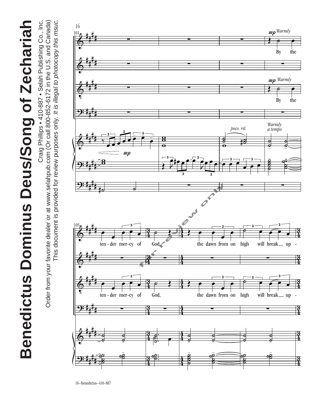Craig Phillips • 410-887 • Selah Publishing Co., Inc. Craig Phillips • 410-887 • Selah Publishing Co., Inc. Order from your favorite dealer or at www.selahpub.com (Or call 800-852-6172 in the U.S. and Canada) Order from your favorite dealer or at www.selahpub.com (Or call 800-852-6172 in the U.S. and Canada) This document is provided for review purposes only. It is illegal to photocopy this msuc. This document is provided for review purposes only. It is illegal to photocopy this msuc.



16–Benedictus–410-887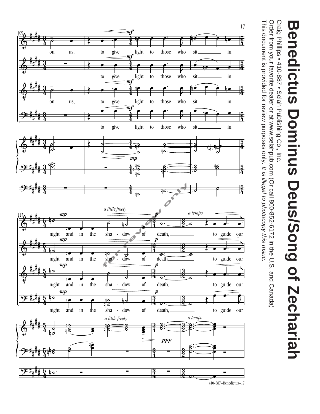

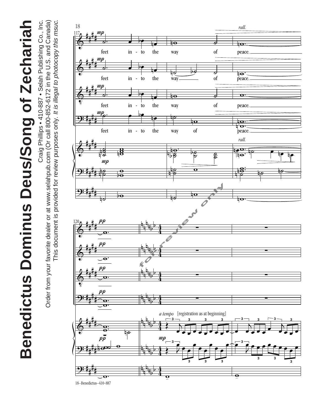Craig Phillips • 410-887 • Selah Publishing Co., Inc. Craig Phillips • 410-887 • Selah Publishing Co., Inc. Order from your favorite dealer or at www.selahpub.com (Or call 800-852-6172 in the U.S. and Canada) Order from your favorite dealer or at www.selahpub.com (Or call 800-852-6172 in the U.S. and Canada) This document is provided for review purposes only. It is illegal to photocopy this msuc. This document is provided for review purposes only. It is illegal to photocopy this msuc.



 $rac{1}{2}$ .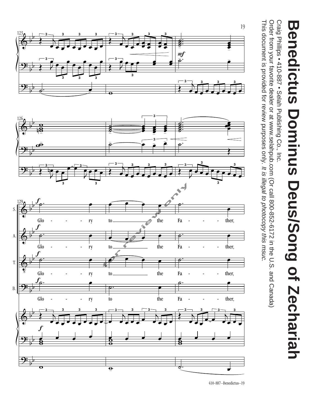



<sup>410-887–</sup>Benedictus–19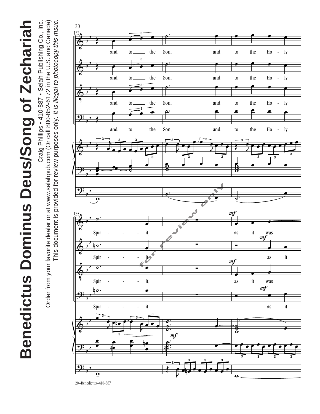This document is provided for review purposes only. It is illegal to photocopy this msuc. Craig Phillips • 410-887 • Selah Publishing Co., Inc. Craig Phillips • 410-887 • Selah Publishing Co., Inc. Order from your favorite dealer or at www.selahpub.com (Or call 800-852-6172 in the U.S. and Canada) Order from your favorite dealer or at www.selahpub.com (Or call 800-852-6172 in the U.S. and Canada) This document is provided for review purposes only. It is illegal to photocopy this msuc.

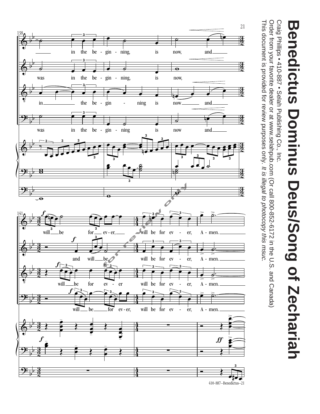

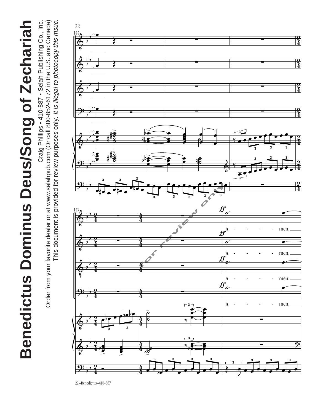Craig Phillips • 410-887 • Selah Publishing Co., Inc. Craig Phillips • 410-887 • Selah Publishing Co., Inc. Order from your favorite dealer or at www.selahpub.com (Or call 800-852-6172 in the U.S. and Canada) Order from your favorite dealer or at www.selahpub.com (Or call 800-852-6172 in the U.S. and Canada) This document is provided for review purposes only. It is illegal to photocopy this msuc. This document is provided for review purposes only. It is illegal to photocopy this msuc.



22–Benedictus–410-887